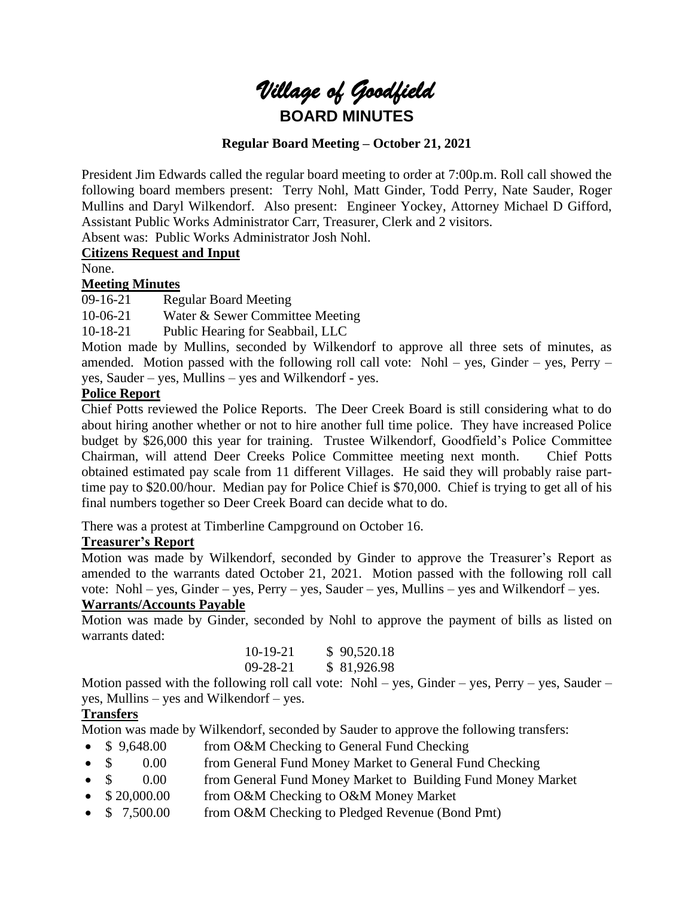# *Village of Goodfield* **BOARD MINUTES**

## **Regular Board Meeting – October 21, 2021**

President Jim Edwards called the regular board meeting to order at 7:00p.m. Roll call showed the following board members present: Terry Nohl, Matt Ginder, Todd Perry, Nate Sauder, Roger Mullins and Daryl Wilkendorf. Also present: Engineer Yockey, Attorney Michael D Gifford, Assistant Public Works Administrator Carr, Treasurer, Clerk and 2 visitors.

Absent was: Public Works Administrator Josh Nohl.

# **Citizens Request and Input**

None.

## **Meeting Minutes**

09-16-21 Regular Board Meeting

10-06-21 Water & Sewer Committee Meeting

10-18-21 Public Hearing for Seabbail, LLC

Motion made by Mullins, seconded by Wilkendorf to approve all three sets of minutes, as amended. Motion passed with the following roll call vote: Nohl – yes, Ginder – yes, Perry – yes, Sauder – yes, Mullins – yes and Wilkendorf - yes.

#### **Police Report**

Chief Potts reviewed the Police Reports. The Deer Creek Board is still considering what to do about hiring another whether or not to hire another full time police. They have increased Police budget by \$26,000 this year for training. Trustee Wilkendorf, Goodfield's Police Committee Chairman, will attend Deer Creeks Police Committee meeting next month. Chief Potts obtained estimated pay scale from 11 different Villages. He said they will probably raise parttime pay to \$20.00/hour. Median pay for Police Chief is \$70,000. Chief is trying to get all of his final numbers together so Deer Creek Board can decide what to do.

There was a protest at Timberline Campground on October 16.

## **Treasurer's Report**

Motion was made by Wilkendorf, seconded by Ginder to approve the Treasurer's Report as amended to the warrants dated October 21, 2021. Motion passed with the following roll call vote: Nohl – yes, Ginder – yes, Perry – yes, Sauder – yes, Mullins – yes and Wilkendorf – yes.

## **Warrants/Accounts Payable**

Motion was made by Ginder, seconded by Nohl to approve the payment of bills as listed on warrants dated:

| 10-19-21 | \$90,520.18 |
|----------|-------------|
| 09-28-21 | \$81,926.98 |

Motion passed with the following roll call vote: Nohl – yes, Ginder – yes, Perry – yes, Sauder – yes, Mullins – yes and Wilkendorf – yes.

## **Transfers**

Motion was made by Wilkendorf, seconded by Sauder to approve the following transfers:

- \$ 9,648.00 from O&M Checking to General Fund Checking
- \$ 0.00 from General Fund Money Market to General Fund Checking
- \$ 0.00 from General Fund Money Market to Building Fund Money Market
- \$20,000.00 from O&M Checking to O&M Money Market
- $\frac{1}{2}$  7,500.00 from O&M Checking to Pledged Revenue (Bond Pmt)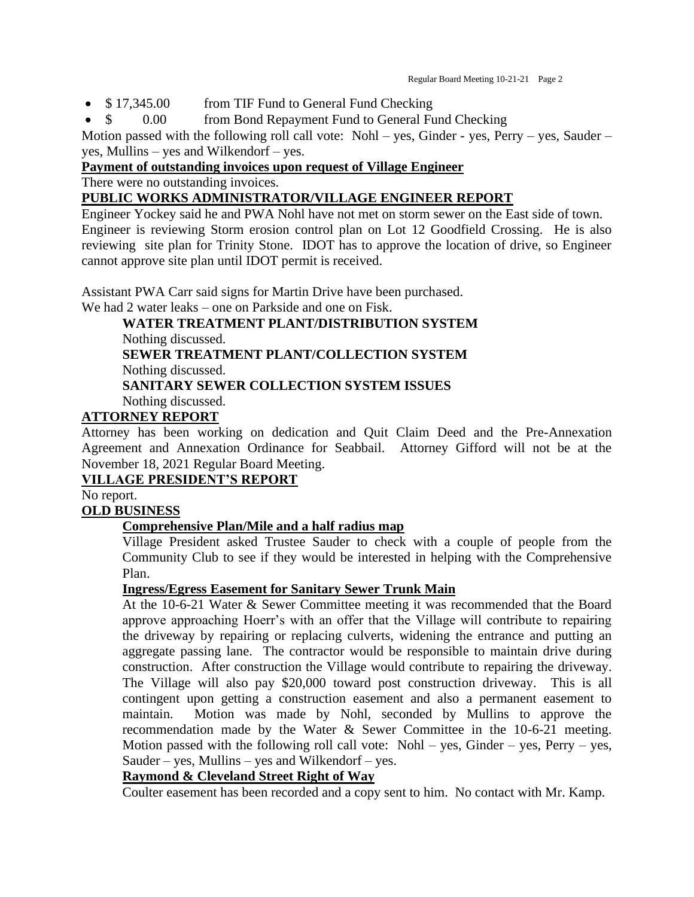- \$17,345.00 from TIF Fund to General Fund Checking
- \$ 0.00 from Bond Repayment Fund to General Fund Checking

Motion passed with the following roll call vote: Nohl – yes, Ginder - yes, Perry – yes, Sauder – yes, Mullins – yes and Wilkendorf – yes.

## **Payment of outstanding invoices upon request of Village Engineer**

There were no outstanding invoices.

## **PUBLIC WORKS ADMINISTRATOR/VILLAGE ENGINEER REPORT**

Engineer Yockey said he and PWA Nohl have not met on storm sewer on the East side of town. Engineer is reviewing Storm erosion control plan on Lot 12 Goodfield Crossing. He is also reviewing site plan for Trinity Stone. IDOT has to approve the location of drive, so Engineer cannot approve site plan until IDOT permit is received.

Assistant PWA Carr said signs for Martin Drive have been purchased. We had 2 water leaks – one on Parkside and one on Fisk.

**WATER TREATMENT PLANT/DISTRIBUTION SYSTEM** Nothing discussed. **SEWER TREATMENT PLANT/COLLECTION SYSTEM** Nothing discussed. **SANITARY SEWER COLLECTION SYSTEM ISSUES**

Nothing discussed.

# **ATTORNEY REPORT**

Attorney has been working on dedication and Quit Claim Deed and the Pre-Annexation Agreement and Annexation Ordinance for Seabbail. Attorney Gifford will not be at the November 18, 2021 Regular Board Meeting.

# **VILLAGE PRESIDENT'S REPORT**

No report.

# **OLD BUSINESS**

# **Comprehensive Plan/Mile and a half radius map**

Village President asked Trustee Sauder to check with a couple of people from the Community Club to see if they would be interested in helping with the Comprehensive Plan.

## **Ingress/Egress Easement for Sanitary Sewer Trunk Main**

At the 10-6-21 Water & Sewer Committee meeting it was recommended that the Board approve approaching Hoerr's with an offer that the Village will contribute to repairing the driveway by repairing or replacing culverts, widening the entrance and putting an aggregate passing lane. The contractor would be responsible to maintain drive during construction. After construction the Village would contribute to repairing the driveway. The Village will also pay \$20,000 toward post construction driveway. This is all contingent upon getting a construction easement and also a permanent easement to maintain. Motion was made by Nohl, seconded by Mullins to approve the recommendation made by the Water & Sewer Committee in the 10-6-21 meeting. Motion passed with the following roll call vote: Nohl – yes, Ginder – yes, Perry – yes, Sauder – yes, Mullins – yes and Wilkendorf – yes.

# **Raymond & Cleveland Street Right of Way**

Coulter easement has been recorded and a copy sent to him. No contact with Mr. Kamp.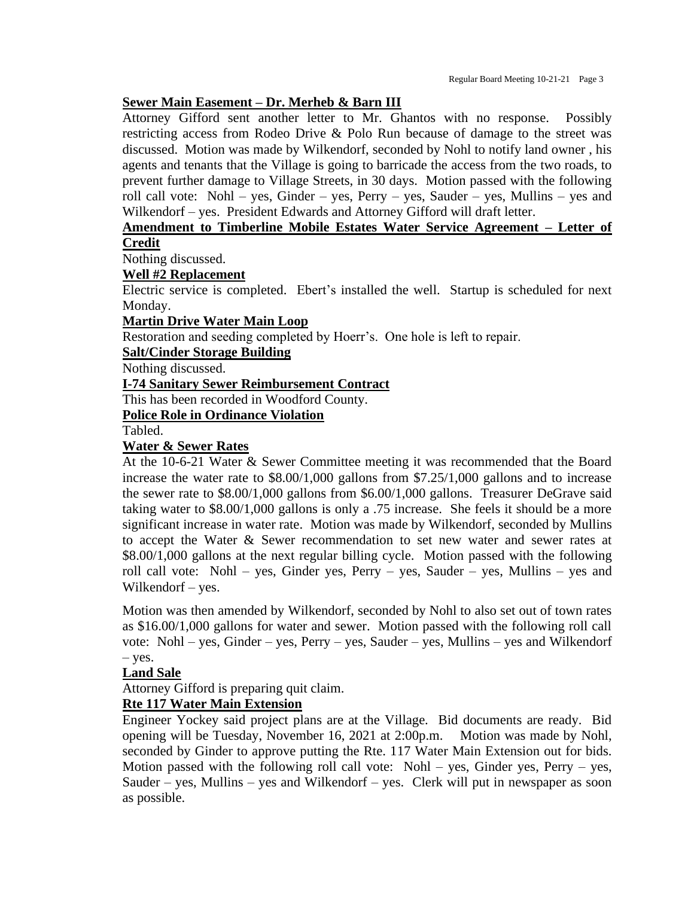## **Sewer Main Easement – Dr. Merheb & Barn III**

Attorney Gifford sent another letter to Mr. Ghantos with no response. Possibly restricting access from Rodeo Drive & Polo Run because of damage to the street was discussed. Motion was made by Wilkendorf, seconded by Nohl to notify land owner , his agents and tenants that the Village is going to barricade the access from the two roads, to prevent further damage to Village Streets, in 30 days. Motion passed with the following roll call vote: Nohl – yes, Ginder – yes, Perry – yes, Sauder – yes, Mullins – yes and Wilkendorf – yes. President Edwards and Attorney Gifford will draft letter.

# **Amendment to Timberline Mobile Estates Water Service Agreement – Letter of Credit**

Nothing discussed.

#### **Well #2 Replacement**

Electric service is completed. Ebert's installed the well. Startup is scheduled for next Monday.

#### **Martin Drive Water Main Loop**

Restoration and seeding completed by Hoerr's. One hole is left to repair.

#### **Salt/Cinder Storage Building**

Nothing discussed.

#### **I-74 Sanitary Sewer Reimbursement Contract**

This has been recorded in Woodford County.

## **Police Role in Ordinance Violation**

Tabled.

#### **Water & Sewer Rates**

At the 10-6-21 Water & Sewer Committee meeting it was recommended that the Board increase the water rate to \$8.00/1,000 gallons from \$7.25/1,000 gallons and to increase the sewer rate to \$8.00/1,000 gallons from \$6.00/1,000 gallons. Treasurer DeGrave said taking water to \$8.00/1,000 gallons is only a .75 increase. She feels it should be a more significant increase in water rate. Motion was made by Wilkendorf, seconded by Mullins to accept the Water & Sewer recommendation to set new water and sewer rates at \$8.00/1,000 gallons at the next regular billing cycle. Motion passed with the following roll call vote: Nohl – yes, Ginder yes, Perry – yes, Sauder – yes, Mullins – yes and Wilkendorf – yes.

Motion was then amended by Wilkendorf, seconded by Nohl to also set out of town rates as \$16.00/1,000 gallons for water and sewer. Motion passed with the following roll call vote: Nohl – yes, Ginder – yes, Perry – yes, Sauder – yes, Mullins – yes and Wilkendorf  $-$  yes.

## **Land Sale**

Attorney Gifford is preparing quit claim.

## **Rte 117 Water Main Extension**

Engineer Yockey said project plans are at the Village. Bid documents are ready. Bid opening will be Tuesday, November 16, 2021 at 2:00p.m. Motion was made by Nohl, seconded by Ginder to approve putting the Rte. 117 Water Main Extension out for bids. Motion passed with the following roll call vote: Nohl – yes, Ginder yes, Perry – yes, Sauder – yes, Mullins – yes and Wilkendorf – yes. Clerk will put in newspaper as soon as possible.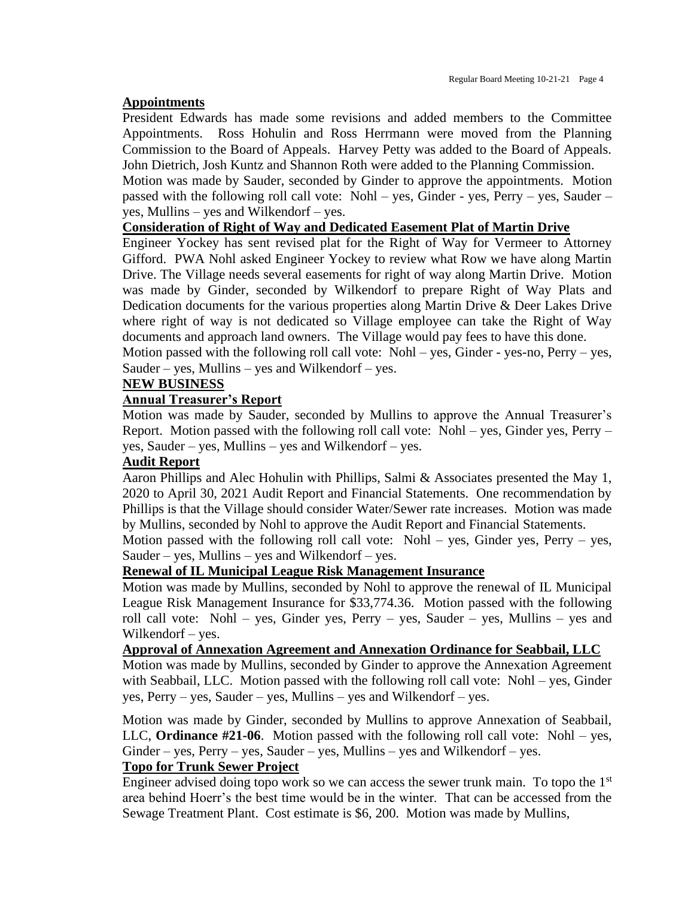#### **Appointments**

President Edwards has made some revisions and added members to the Committee Appointments. Ross Hohulin and Ross Herrmann were moved from the Planning Commission to the Board of Appeals. Harvey Petty was added to the Board of Appeals. John Dietrich, Josh Kuntz and Shannon Roth were added to the Planning Commission.

Motion was made by Sauder, seconded by Ginder to approve the appointments. Motion passed with the following roll call vote: Nohl – yes, Ginder - yes, Perry – yes, Sauder – yes, Mullins – yes and Wilkendorf – yes.

## **Consideration of Right of Way and Dedicated Easement Plat of Martin Drive**

Engineer Yockey has sent revised plat for the Right of Way for Vermeer to Attorney Gifford. PWA Nohl asked Engineer Yockey to review what Row we have along Martin Drive. The Village needs several easements for right of way along Martin Drive. Motion was made by Ginder, seconded by Wilkendorf to prepare Right of Way Plats and Dedication documents for the various properties along Martin Drive & Deer Lakes Drive where right of way is not dedicated so Village employee can take the Right of Way documents and approach land owners. The Village would pay fees to have this done.

Motion passed with the following roll call vote: Nohl – yes, Ginder - yes-no, Perry – yes, Sauder – yes, Mullins – yes and Wilkendorf – yes.

#### **NEW BUSINESS**

## **Annual Treasurer's Report**

Motion was made by Sauder, seconded by Mullins to approve the Annual Treasurer's Report. Motion passed with the following roll call vote: Nohl – yes, Ginder yes, Perry – yes, Sauder – yes, Mullins – yes and Wilkendorf – yes.

#### **Audit Report**

Aaron Phillips and Alec Hohulin with Phillips, Salmi & Associates presented the May 1, 2020 to April 30, 2021 Audit Report and Financial Statements. One recommendation by Phillips is that the Village should consider Water/Sewer rate increases. Motion was made by Mullins, seconded by Nohl to approve the Audit Report and Financial Statements.

Motion passed with the following roll call vote: Nohl – yes, Ginder yes, Perry – yes, Sauder – yes, Mullins – yes and Wilkendorf – yes.

#### **Renewal of IL Municipal League Risk Management Insurance**

Motion was made by Mullins, seconded by Nohl to approve the renewal of IL Municipal League Risk Management Insurance for \$33,774.36. Motion passed with the following roll call vote: Nohl – yes, Ginder yes, Perry – yes, Sauder – yes, Mullins – yes and Wilkendorf – yes.

#### **Approval of Annexation Agreement and Annexation Ordinance for Seabbail, LLC**

Motion was made by Mullins, seconded by Ginder to approve the Annexation Agreement with Seabbail, LLC. Motion passed with the following roll call vote: Nohl – yes, Ginder yes, Perry – yes, Sauder – yes, Mullins – yes and Wilkendorf – yes.

Motion was made by Ginder, seconded by Mullins to approve Annexation of Seabbail, LLC, **Ordinance #21-06**. Motion passed with the following roll call vote: Nohl – yes,  $Ginder - yes$ ,  $Perry - yes$ ,  $Sauder - yes$ ,  $Mullins - yes$  and Wilkendorf – yes.

## **Topo for Trunk Sewer Project**

Engineer advised doing topo work so we can access the sewer trunk main. To topo the  $1<sup>st</sup>$ area behind Hoerr's the best time would be in the winter. That can be accessed from the Sewage Treatment Plant. Cost estimate is \$6, 200. Motion was made by Mullins,